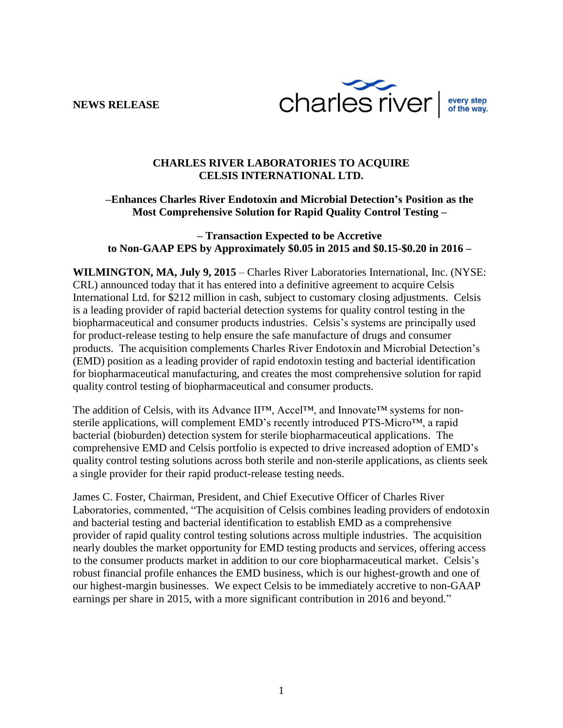**NEWS RELEASE**



## **CHARLES RIVER LABORATORIES TO ACQUIRE CELSIS INTERNATIONAL LTD.**

# **–Enhances Charles River Endotoxin and Microbial Detection's Position as the Most Comprehensive Solution for Rapid Quality Control Testing –**

## **– Transaction Expected to be Accretive to Non-GAAP EPS by Approximately \$0.05 in 2015 and \$0.15-\$0.20 in 2016 –**

**WILMINGTON, MA, July 9, 2015** – Charles River Laboratories International, Inc. (NYSE: CRL) announced today that it has entered into a definitive agreement to acquire Celsis International Ltd. for \$212 million in cash, subject to customary closing adjustments. Celsis is a leading provider of rapid bacterial detection systems for quality control testing in the biopharmaceutical and consumer products industries. Celsis's systems are principally used for product-release testing to help ensure the safe manufacture of drugs and consumer products. The acquisition complements Charles River Endotoxin and Microbial Detection's (EMD) position as a leading provider of rapid endotoxin testing and bacterial identification for biopharmaceutical manufacturing, and creates the most comprehensive solution for rapid quality control testing of biopharmaceutical and consumer products.

The addition of Celsis, with its Advance II™, Accel™, and Innovate™ systems for nonsterile applications, will complement EMD's recently introduced PTS-Micro™, a rapid bacterial (bioburden) detection system for sterile biopharmaceutical applications. The comprehensive EMD and Celsis portfolio is expected to drive increased adoption of EMD's quality control testing solutions across both sterile and non-sterile applications, as clients seek a single provider for their rapid product-release testing needs.

James C. Foster, Chairman, President, and Chief Executive Officer of Charles River Laboratories, commented, "The acquisition of Celsis combines leading providers of endotoxin and bacterial testing and bacterial identification to establish EMD as a comprehensive provider of rapid quality control testing solutions across multiple industries. The acquisition nearly doubles the market opportunity for EMD testing products and services, offering access to the consumer products market in addition to our core biopharmaceutical market. Celsis's robust financial profile enhances the EMD business, which is our highest-growth and one of our highest-margin businesses. We expect Celsis to be immediately accretive to non-GAAP earnings per share in 2015, with a more significant contribution in 2016 and beyond."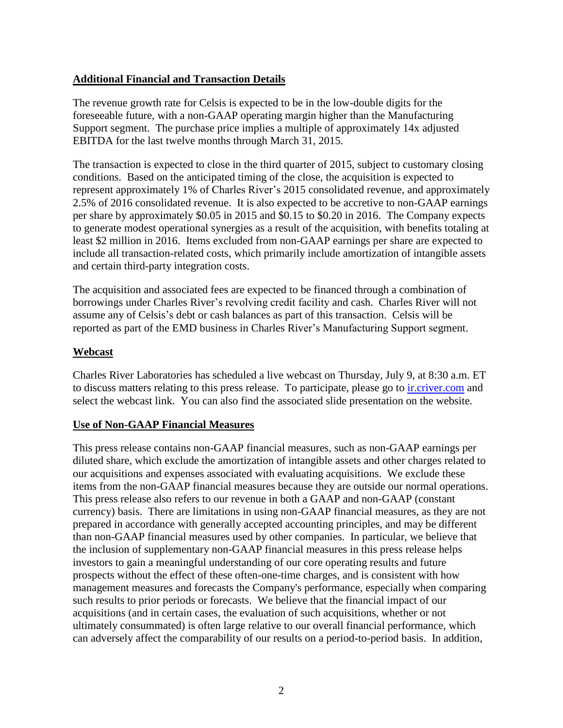# **Additional Financial and Transaction Details**

The revenue growth rate for Celsis is expected to be in the low-double digits for the foreseeable future, with a non-GAAP operating margin higher than the Manufacturing Support segment. The purchase price implies a multiple of approximately 14x adjusted EBITDA for the last twelve months through March 31, 2015.

The transaction is expected to close in the third quarter of 2015, subject to customary closing conditions. Based on the anticipated timing of the close, the acquisition is expected to represent approximately 1% of Charles River's 2015 consolidated revenue, and approximately 2.5% of 2016 consolidated revenue. It is also expected to be accretive to non-GAAP earnings per share by approximately \$0.05 in 2015 and \$0.15 to \$0.20 in 2016. The Company expects to generate modest operational synergies as a result of the acquisition, with benefits totaling at least \$2 million in 2016. Items excluded from non-GAAP earnings per share are expected to include all transaction-related costs, which primarily include amortization of intangible assets and certain third-party integration costs.

The acquisition and associated fees are expected to be financed through a combination of borrowings under Charles River's revolving credit facility and cash. Charles River will not assume any of Celsis's debt or cash balances as part of this transaction. Celsis will be reported as part of the EMD business in Charles River's Manufacturing Support segment.

## **Webcast**

Charles River Laboratories has scheduled a live webcast on Thursday, July 9, at 8:30 a.m. ET to discuss matters relating to this press release. To participate, please go to *interiver.com* and select the webcast link. You can also find the associated slide presentation on the website.

### **Use of Non-GAAP Financial Measures**

This press release contains non-GAAP financial measures, such as non-GAAP earnings per diluted share, which exclude the amortization of intangible assets and other charges related to our acquisitions and expenses associated with evaluating acquisitions. We exclude these items from the non-GAAP financial measures because they are outside our normal operations. This press release also refers to our revenue in both a GAAP and non-GAAP (constant currency) basis. There are limitations in using non-GAAP financial measures, as they are not prepared in accordance with generally accepted accounting principles, and may be different than non-GAAP financial measures used by other companies. In particular, we believe that the inclusion of supplementary non-GAAP financial measures in this press release helps investors to gain a meaningful understanding of our core operating results and future prospects without the effect of these often-one-time charges, and is consistent with how management measures and forecasts the Company's performance, especially when comparing such results to prior periods or forecasts. We believe that the financial impact of our acquisitions (and in certain cases, the evaluation of such acquisitions, whether or not ultimately consummated) is often large relative to our overall financial performance, which can adversely affect the comparability of our results on a period-to-period basis. In addition,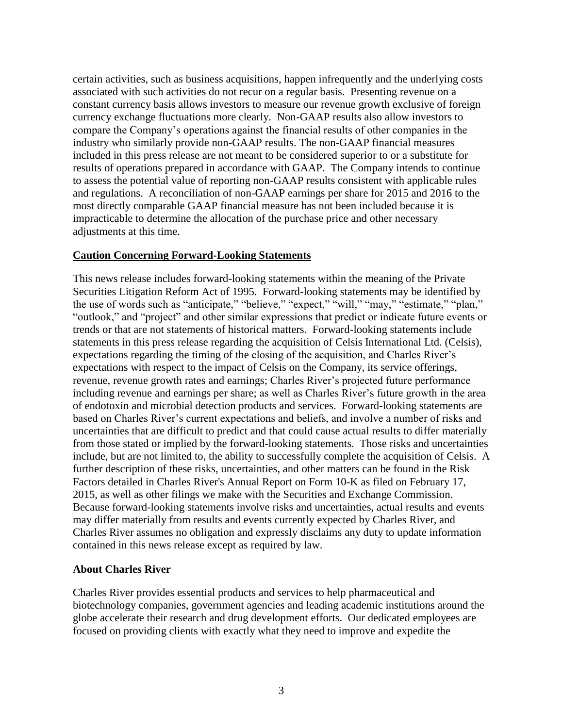certain activities, such as business acquisitions, happen infrequently and the underlying costs associated with such activities do not recur on a regular basis. Presenting revenue on a constant currency basis allows investors to measure our revenue growth exclusive of foreign currency exchange fluctuations more clearly. Non-GAAP results also allow investors to compare the Company's operations against the financial results of other companies in the industry who similarly provide non-GAAP results. The non-GAAP financial measures included in this press release are not meant to be considered superior to or a substitute for results of operations prepared in accordance with GAAP. The Company intends to continue to assess the potential value of reporting non-GAAP results consistent with applicable rules and regulations. A reconciliation of non-GAAP earnings per share for 2015 and 2016 to the most directly comparable GAAP financial measure has not been included because it is impracticable to determine the allocation of the purchase price and other necessary adjustments at this time.

### **Caution Concerning Forward-Looking Statements**

This news release includes forward-looking statements within the meaning of the Private Securities Litigation Reform Act of 1995. Forward-looking statements may be identified by the use of words such as "anticipate," "believe," "expect," "will," "may," "estimate," "plan," "outlook," and "project" and other similar expressions that predict or indicate future events or trends or that are not statements of historical matters. Forward-looking statements include statements in this press release regarding the acquisition of Celsis International Ltd. (Celsis), expectations regarding the timing of the closing of the acquisition, and Charles River's expectations with respect to the impact of Celsis on the Company, its service offerings, revenue, revenue growth rates and earnings; Charles River's projected future performance including revenue and earnings per share; as well as Charles River's future growth in the area of endotoxin and microbial detection products and services. Forward-looking statements are based on Charles River's current expectations and beliefs, and involve a number of risks and uncertainties that are difficult to predict and that could cause actual results to differ materially from those stated or implied by the forward-looking statements. Those risks and uncertainties include, but are not limited to, the ability to successfully complete the acquisition of Celsis. A further description of these risks, uncertainties, and other matters can be found in the Risk Factors detailed in Charles River's Annual Report on Form 10-K as filed on February 17, 2015, as well as other filings we make with the Securities and Exchange Commission. Because forward-looking statements involve risks and uncertainties, actual results and events may differ materially from results and events currently expected by Charles River, and Charles River assumes no obligation and expressly disclaims any duty to update information contained in this news release except as required by law.

# **About Charles River**

Charles River provides essential products and services to help pharmaceutical and biotechnology companies, government agencies and leading academic institutions around the globe accelerate their research and drug development efforts. Our dedicated employees are focused on providing clients with exactly what they need to improve and expedite the